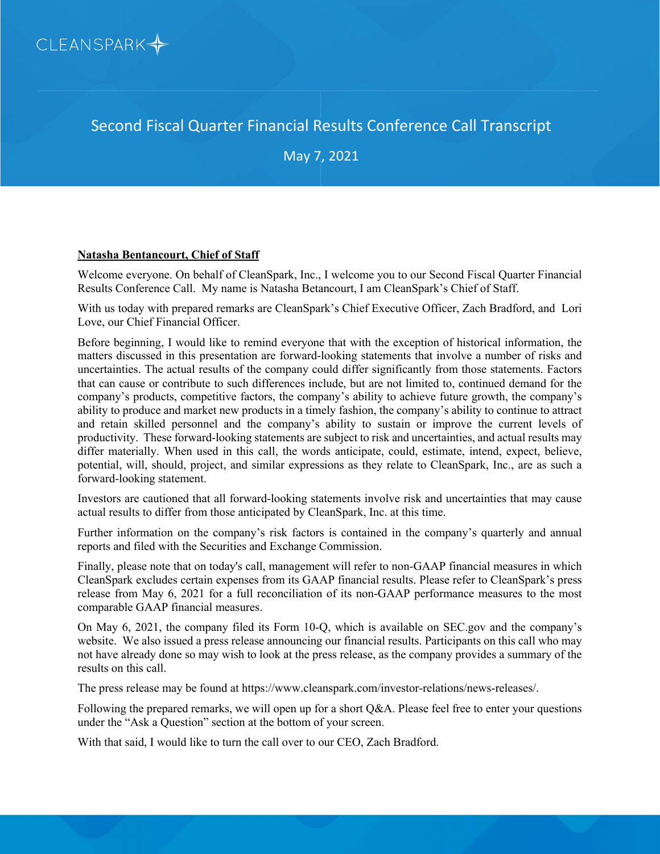

Second Fiscal Quarter Financial Results Conference Call Transcript

May 7, 2021

# **Natasha Bentancourt, Chief of Staff**

Welcome everyone. On behalf of CleanSpark, Inc., I welcome you to our Second Fiscal Quarter Financial Results Conference Call. My name is Natasha Betancourt, I am CleanSpark's Chief of Staff.

With us today with prepared remarks are CleanSpark's Chief Executive Officer, Zach Bradford, and Lori Love, our Chief Financial Officer.

Before beginning, I would like to remind everyone that with the exception of historical information, the matters discussed in this presentation are forward-looking statements that involve a number of risks and uncertainties. The actual results of the company could differ significantly from those statements. Factors that can cause or contribute to such differences include, but are not limited to, continued demand for the company's products, competitive factors, the company's ability to achieve future growth, the company's ability to produce and market new products in a timely fashion, the company's ability to continue to attract and retain skilled personnel and the company's ability to sustain or improve the current levels of productivity. These forward-looking statements are subject to risk and uncertainties, and actual results may differ materially. When used in this call, the words anticipate, could, estimate, intend, expect, believe, potential, will, should, project, and similar expressions as they relate to CleanSpark, Inc., are as such a forward-looking statement.

Investors are cautioned that all forward-looking statements involve risk and uncertainties that may cause actual results to differ from those anticipated by CleanSpark, Inc. at this time.

Further information on the company's risk factors is contained in the company's quarterly and annual reports and filed with the Securities and Exchange Commission.

Finally, please note that on today's call, management will refer to non-GAAP financial measures in which CleanSpark excludes certain expenses from its GAAP financial results. Please refer to CleanSpark's press release from May 6, 2021 for a full reconciliation of its non-GAAP performance measures to the most comparable GAAP financial measures.

On May 6, 2021, the company filed its Form 10-Q, which is available on SEC.gov and the company's website. We also issued a press release announcing our financial results. Participants on this call who may not have already done so may wish to look at the press release, as the company provides a summary of the results on this call.

The press release may be found at https://www.cleanspark.com/investor-relations/news-releases/.

Following the prepared remarks, we will open up for a short Q&A. Please feel free to enter your questions under the "Ask a Question" section at the bottom of your screen.

With that said, I would like to turn the call over to our CEO, Zach Bradford.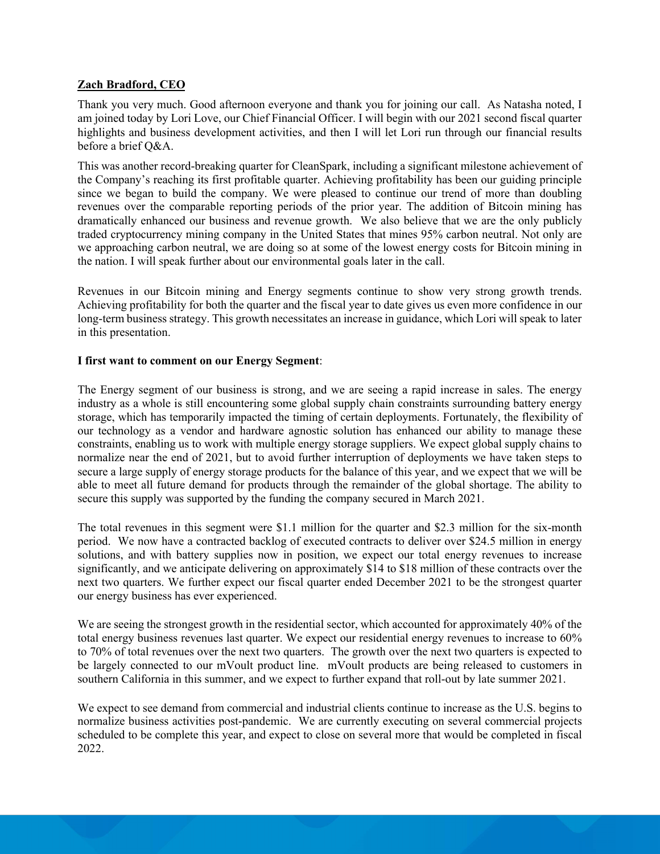# **Zach Bradford, CEO**

Thank you very much. Good afternoon everyone and thank you for joining our call. As Natasha noted, I am joined today by Lori Love, our Chief Financial Officer. I will begin with our 2021 second fiscal quarter highlights and business development activities, and then I will let Lori run through our financial results before a brief Q&A.

This was another record-breaking quarter for CleanSpark, including a significant milestone achievement of the Company's reaching its first profitable quarter. Achieving profitability has been our guiding principle since we began to build the company. We were pleased to continue our trend of more than doubling revenues over the comparable reporting periods of the prior year. The addition of Bitcoin mining has dramatically enhanced our business and revenue growth. We also believe that we are the only publicly traded cryptocurrency mining company in the United States that mines 95% carbon neutral. Not only are we approaching carbon neutral, we are doing so at some of the lowest energy costs for Bitcoin mining in the nation. I will speak further about our environmental goals later in the call.

Revenues in our Bitcoin mining and Energy segments continue to show very strong growth trends. Achieving profitability for both the quarter and the fiscal year to date gives us even more confidence in our long-term business strategy. This growth necessitates an increase in guidance, which Lori will speak to later in this presentation.

### **I first want to comment on our Energy Segment**:

The Energy segment of our business is strong, and we are seeing a rapid increase in sales. The energy industry as a whole is still encountering some global supply chain constraints surrounding battery energy storage, which has temporarily impacted the timing of certain deployments. Fortunately, the flexibility of our technology as a vendor and hardware agnostic solution has enhanced our ability to manage these constraints, enabling us to work with multiple energy storage suppliers. We expect global supply chains to normalize near the end of 2021, but to avoid further interruption of deployments we have taken steps to secure a large supply of energy storage products for the balance of this year, and we expect that we will be able to meet all future demand for products through the remainder of the global shortage. The ability to secure this supply was supported by the funding the company secured in March 2021.

The total revenues in this segment were \$1.1 million for the quarter and \$2.3 million for the six-month period. We now have a contracted backlog of executed contracts to deliver over \$24.5 million in energy solutions, and with battery supplies now in position, we expect our total energy revenues to increase significantly, and we anticipate delivering on approximately \$14 to \$18 million of these contracts over the next two quarters. We further expect our fiscal quarter ended December 2021 to be the strongest quarter our energy business has ever experienced.

We are seeing the strongest growth in the residential sector, which accounted for approximately 40% of the total energy business revenues last quarter. We expect our residential energy revenues to increase to 60% to 70% of total revenues over the next two quarters. The growth over the next two quarters is expected to be largely connected to our mVoult product line. mVoult products are being released to customers in southern California in this summer, and we expect to further expand that roll-out by late summer 2021.

We expect to see demand from commercial and industrial clients continue to increase as the U.S. begins to normalize business activities post-pandemic. We are currently executing on several commercial projects scheduled to be complete this year, and expect to close on several more that would be completed in fiscal 2022.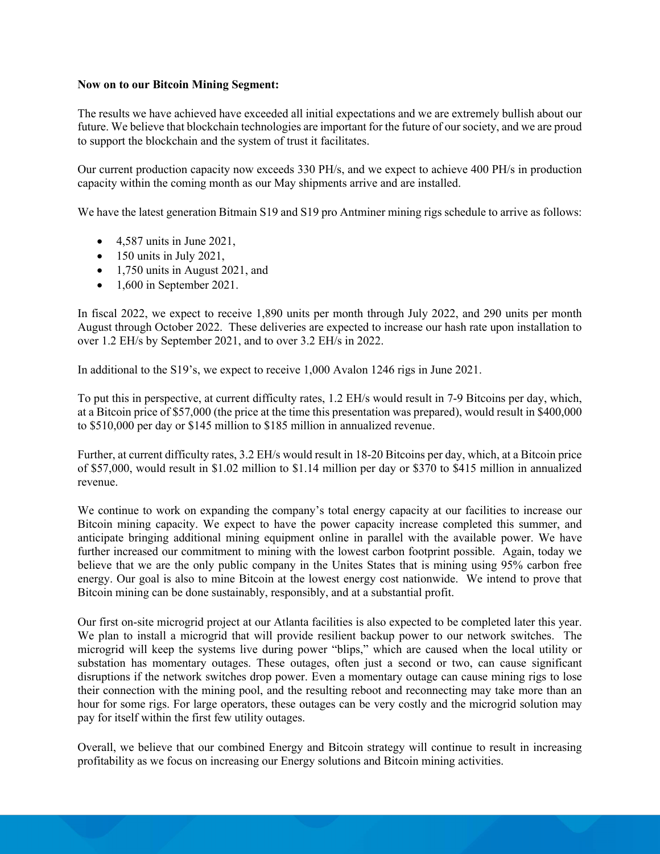#### **Now on to our Bitcoin Mining Segment:**

The results we have achieved have exceeded all initial expectations and we are extremely bullish about our future. We believe that blockchain technologies are important for the future of our society, and we are proud to support the blockchain and the system of trust it facilitates.

Our current production capacity now exceeds 330 PH/s, and we expect to achieve 400 PH/s in production capacity within the coming month as our May shipments arrive and are installed.

We have the latest generation Bitmain S19 and S19 pro Antminer mining rigs schedule to arrive as follows:

- $\bullet$  4,587 units in June 2021,
- $\bullet$  150 units in July 2021,
- 1,750 units in August 2021, and
- $\bullet$  1,600 in September 2021.

In fiscal 2022, we expect to receive 1,890 units per month through July 2022, and 290 units per month August through October 2022. These deliveries are expected to increase our hash rate upon installation to over 1.2 EH/s by September 2021, and to over 3.2 EH/s in 2022.

In additional to the S19's, we expect to receive 1,000 Avalon 1246 rigs in June 2021.

To put this in perspective, at current difficulty rates, 1.2 EH/s would result in 7-9 Bitcoins per day, which, at a Bitcoin price of \$57,000 (the price at the time this presentation was prepared), would result in \$400,000 to \$510,000 per day or \$145 million to \$185 million in annualized revenue.

Further, at current difficulty rates, 3.2 EH/s would result in 18-20 Bitcoins per day, which, at a Bitcoin price of \$57,000, would result in \$1.02 million to \$1.14 million per day or \$370 to \$415 million in annualized revenue.

We continue to work on expanding the company's total energy capacity at our facilities to increase our Bitcoin mining capacity. We expect to have the power capacity increase completed this summer, and anticipate bringing additional mining equipment online in parallel with the available power. We have further increased our commitment to mining with the lowest carbon footprint possible. Again, today we believe that we are the only public company in the Unites States that is mining using 95% carbon free energy. Our goal is also to mine Bitcoin at the lowest energy cost nationwide. We intend to prove that Bitcoin mining can be done sustainably, responsibly, and at a substantial profit.

Our first on-site microgrid project at our Atlanta facilities is also expected to be completed later this year. We plan to install a microgrid that will provide resilient backup power to our network switches. The microgrid will keep the systems live during power "blips," which are caused when the local utility or substation has momentary outages. These outages, often just a second or two, can cause significant disruptions if the network switches drop power. Even a momentary outage can cause mining rigs to lose their connection with the mining pool, and the resulting reboot and reconnecting may take more than an hour for some rigs. For large operators, these outages can be very costly and the microgrid solution may pay for itself within the first few utility outages.

Overall, we believe that our combined Energy and Bitcoin strategy will continue to result in increasing profitability as we focus on increasing our Energy solutions and Bitcoin mining activities.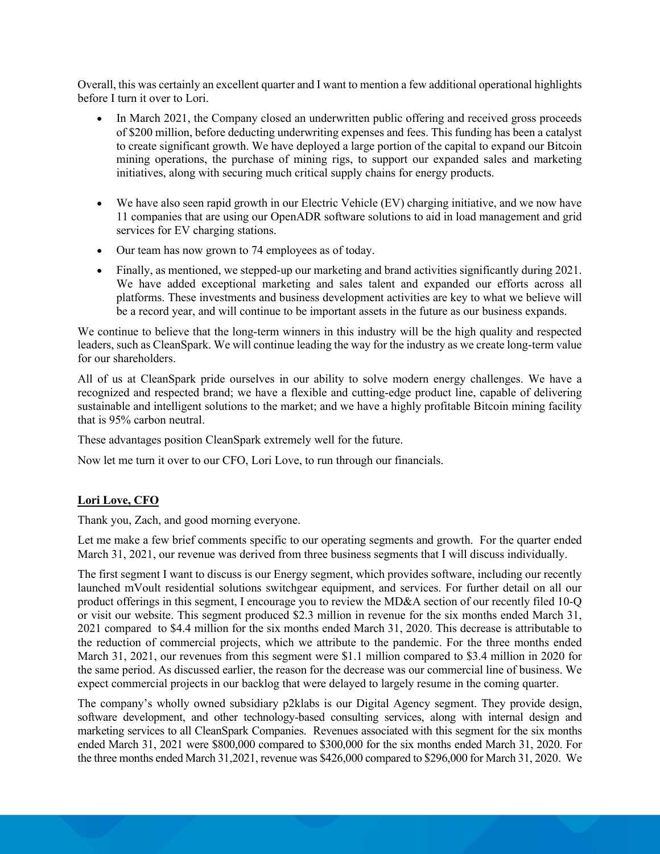Overall, this was certainly an excellent quarter and I want to mention a few additional operational highlights before I turn it over to Lori.

- In March 2021, the Company closed an underwritten public offering and received gross proceeds of \$200 million, before deducting underwriting expenses and fees. This funding has been a catalyst to create significant growth. We have deployed a large portion of the capital to expand our Bitcoin mining operations, the purchase of mining rigs, to support our expanded sales and marketing initiatives, along with securing much critical supply chains for energy products.
- We have also seen rapid growth in our Electric Vehicle (EV) charging initiative, and we now have 11 companies that are using our OpenADR software solutions to aid in load management and grid services for EV charging stations.
- Our team has now grown to 74 employees as of today.
- Finally, as mentioned, we stepped-up our marketing and brand activities significantly during 2021. We have added exceptional marketing and sales talent and expanded our efforts across all platforms. These investments and business development activities are key to what we believe will be a record year, and will continue to be important assets in the future as our business expands.

We continue to believe that the long-term winners in this industry will be the high quality and respected leaders, such as CleanSpark. We will continue leading the way for the industry as we create long-term value for our shareholders.

All of us at CleanSpark pride ourselves in our ability to solve modern energy challenges. We have a recognized and respected brand; we have a flexible and cutting-edge product line, capable of delivering sustainable and intelligent solutions to the market; and we have a highly profitable Bitcoin mining facility that is 95% carbon neutral.

These advantages position CleanSpark extremely well for the future.

Now let me turn it over to our CFO, Lori Love, to run through our financials.

# **Lori Love, CFO**

Thank you, Zach, and good morning everyone.

Let me make a few brief comments specific to our operating segments and growth. For the quarter ended March 31, 2021, our revenue was derived from three business segments that I will discuss individually.

The first segment I want to discuss is our Energy segment, which provides software, including our recently launched mVoult residential solutions switchgear equipment, and services. For further detail on all our product offerings in this segment, I encourage you to review the MD&A section of our recently filed 10-Q or visit our website. This segment produced \$2.3 million in revenue for the six months ended March 31, 2021 compared to \$4.4 million for the six months ended March 31, 2020. This decrease is attributable to the reduction of commercial projects, which we attribute to the pandemic. For the three months ended March 31, 2021, our revenues from this segment were \$1.1 million compared to \$3.4 million in 2020 for the same period. As discussed earlier, the reason for the decrease was our commercial line of business. We expect commercial projects in our backlog that were delayed to largely resume in the coming quarter.

The company's wholly owned subsidiary p2klabs is our Digital Agency segment. They provide design, software development, and other technology-based consulting services, along with internal design and marketing services to all CleanSpark Companies. Revenues associated with this segment for the six months ended March 31, 2021 were \$800,000 compared to \$300,000 for the six months ended March 31, 2020. For the three months ended March 31,2021, revenue was \$426,000 compared to \$296,000 for March 31, 2020. We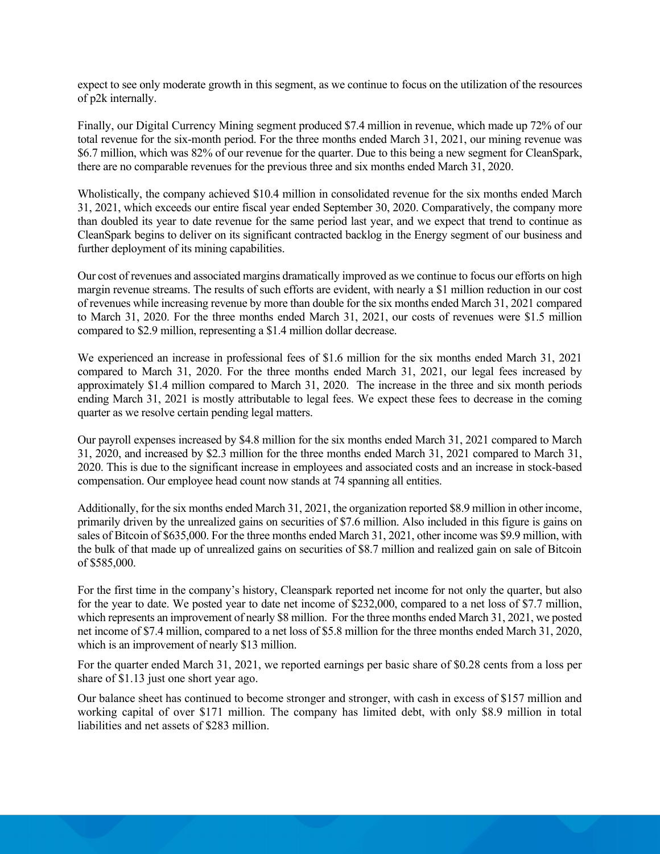expect to see only moderate growth in this segment, as we continue to focus on the utilization of the resources of p2k internally.

Finally, our Digital Currency Mining segment produced \$7.4 million in revenue, which made up 72% of our total revenue for the six-month period. For the three months ended March 31, 2021, our mining revenue was \$6.7 million, which was 82% of our revenue for the quarter. Due to this being a new segment for CleanSpark, there are no comparable revenues for the previous three and six months ended March 31, 2020.

Wholistically, the company achieved \$10.4 million in consolidated revenue for the six months ended March 31, 2021, which exceeds our entire fiscal year ended September 30, 2020. Comparatively, the company more than doubled its year to date revenue for the same period last year, and we expect that trend to continue as CleanSpark begins to deliver on its significant contracted backlog in the Energy segment of our business and further deployment of its mining capabilities.

Our cost of revenues and associated margins dramatically improved as we continue to focus our efforts on high margin revenue streams. The results of such efforts are evident, with nearly a \$1 million reduction in our cost of revenues while increasing revenue by more than double for the six months ended March 31, 2021 compared to March 31, 2020. For the three months ended March 31, 2021, our costs of revenues were \$1.5 million compared to \$2.9 million, representing a \$1.4 million dollar decrease.

We experienced an increase in professional fees of \$1.6 million for the six months ended March 31, 2021 compared to March 31, 2020. For the three months ended March 31, 2021, our legal fees increased by approximately \$1.4 million compared to March 31, 2020. The increase in the three and six month periods ending March 31, 2021 is mostly attributable to legal fees. We expect these fees to decrease in the coming quarter as we resolve certain pending legal matters.

Our payroll expenses increased by \$4.8 million for the six months ended March 31, 2021 compared to March 31, 2020, and increased by \$2.3 million for the three months ended March 31, 2021 compared to March 31, 2020. This is due to the significant increase in employees and associated costs and an increase in stock-based compensation. Our employee head count now stands at 74 spanning all entities.

Additionally, for the six months ended March 31, 2021, the organization reported \$8.9 million in other income, primarily driven by the unrealized gains on securities of \$7.6 million. Also included in this figure is gains on sales of Bitcoin of \$635,000. For the three months ended March 31, 2021, other income was \$9.9 million, with the bulk of that made up of unrealized gains on securities of \$8.7 million and realized gain on sale of Bitcoin of \$585,000.

For the first time in the company's history, Cleanspark reported net income for not only the quarter, but also for the year to date. We posted year to date net income of \$232,000, compared to a net loss of \$7.7 million, which represents an improvement of nearly \$8 million. For the three months ended March 31, 2021, we posted net income of \$7.4 million, compared to a net loss of \$5.8 million for the three months ended March 31, 2020, which is an improvement of nearly \$13 million.

For the quarter ended March 31, 2021, we reported earnings per basic share of \$0.28 cents from a loss per share of \$1.13 just one short year ago.

Our balance sheet has continued to become stronger and stronger, with cash in excess of \$157 million and working capital of over \$171 million. The company has limited debt, with only \$8.9 million in total liabilities and net assets of \$283 million.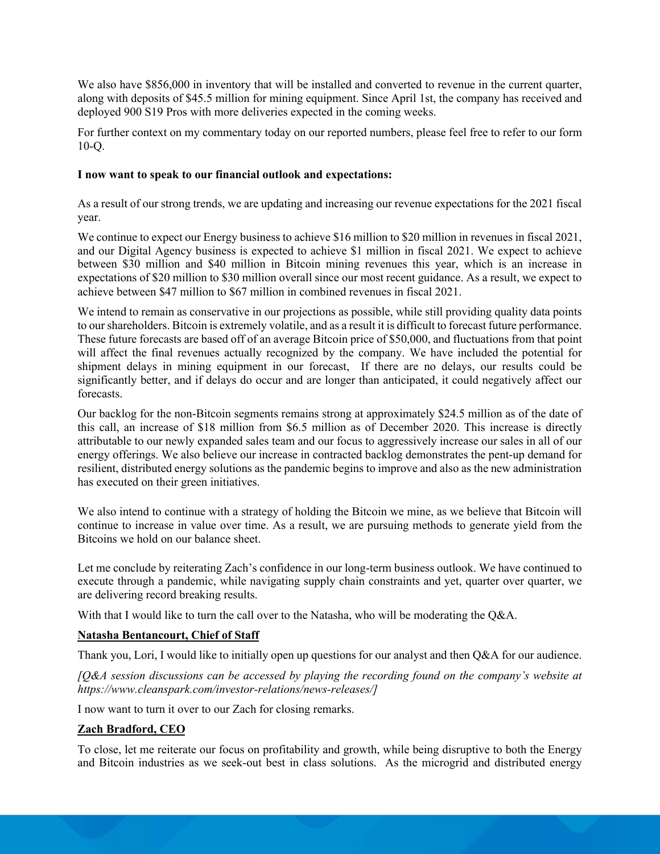We also have \$856,000 in inventory that will be installed and converted to revenue in the current quarter, along with deposits of \$45.5 million for mining equipment. Since April 1st, the company has received and deployed 900 S19 Pros with more deliveries expected in the coming weeks.

For further context on my commentary today on our reported numbers, please feel free to refer to our form 10-Q.

### **I now want to speak to our financial outlook and expectations:**

As a result of our strong trends, we are updating and increasing our revenue expectations for the 2021 fiscal year.

We continue to expect our Energy business to achieve \$16 million to \$20 million in revenues in fiscal 2021, and our Digital Agency business is expected to achieve \$1 million in fiscal 2021. We expect to achieve between \$30 million and \$40 million in Bitcoin mining revenues this year, which is an increase in expectations of \$20 million to \$30 million overall since our most recent guidance. As a result, we expect to achieve between \$47 million to \$67 million in combined revenues in fiscal 2021.

We intend to remain as conservative in our projections as possible, while still providing quality data points to our shareholders. Bitcoin is extremely volatile, and as a result it is difficult to forecast future performance. These future forecasts are based off of an average Bitcoin price of \$50,000, and fluctuations from that point will affect the final revenues actually recognized by the company. We have included the potential for shipment delays in mining equipment in our forecast, If there are no delays, our results could be significantly better, and if delays do occur and are longer than anticipated, it could negatively affect our forecasts.

Our backlog for the non-Bitcoin segments remains strong at approximately \$24.5 million as of the date of this call, an increase of \$18 million from \$6.5 million as of December 2020. This increase is directly attributable to our newly expanded sales team and our focus to aggressively increase our sales in all of our energy offerings. We also believe our increase in contracted backlog demonstrates the pent-up demand for resilient, distributed energy solutions as the pandemic begins to improve and also as the new administration has executed on their green initiatives.

We also intend to continue with a strategy of holding the Bitcoin we mine, as we believe that Bitcoin will continue to increase in value over time. As a result, we are pursuing methods to generate yield from the Bitcoins we hold on our balance sheet.

Let me conclude by reiterating Zach's confidence in our long-term business outlook. We have continued to execute through a pandemic, while navigating supply chain constraints and yet, quarter over quarter, we are delivering record breaking results.

With that I would like to turn the call over to the Natasha, who will be moderating the O&A.

## **Natasha Bentancourt, Chief of Staff**

Thank you, Lori, I would like to initially open up questions for our analyst and then Q&A for our audience.

*[Q&A session discussions can be accessed by playing the recording found on the company's website at https://www.cleanspark.com/investor-relations/news-releases/]*

I now want to turn it over to our Zach for closing remarks.

## **Zach Bradford, CEO**

To close, let me reiterate our focus on profitability and growth, while being disruptive to both the Energy and Bitcoin industries as we seek-out best in class solutions. As the microgrid and distributed energy